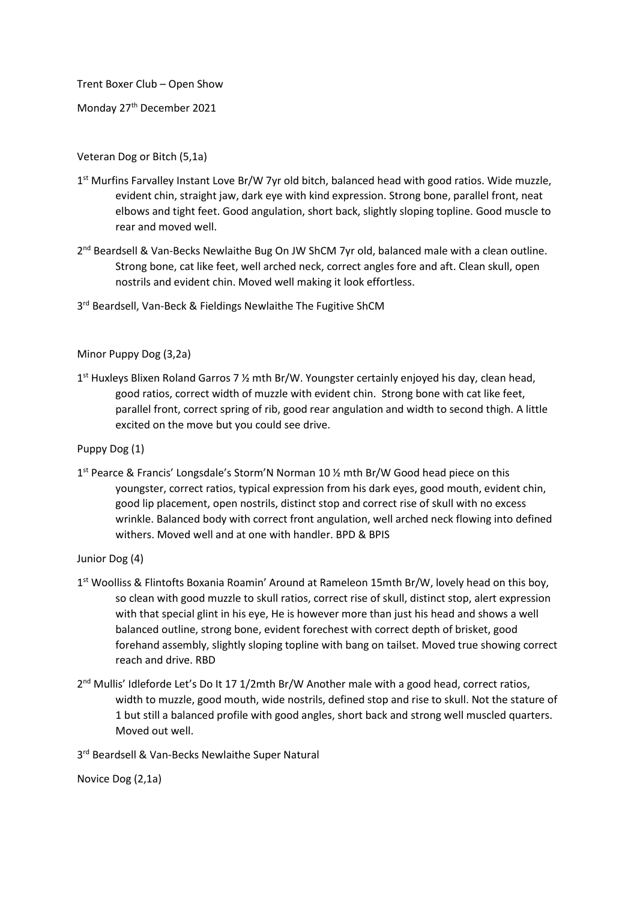Trent Boxer Club – Open Show

Monday 27<sup>th</sup> December 2021

Veteran Dog or Bitch (5,1a)

- 1<sup>st</sup> Murfins Farvalley Instant Love Br/W 7yr old bitch, balanced head with good ratios. Wide muzzle, evident chin, straight jaw, dark eye with kind expression. Strong bone, parallel front, neat elbows and tight feet. Good angulation, short back, slightly sloping topline. Good muscle to rear and moved well.
- 2<sup>nd</sup> Beardsell & Van-Becks Newlaithe Bug On JW ShCM 7yr old, balanced male with a clean outline. Strong bone, cat like feet, well arched neck, correct angles fore and aft. Clean skull, open nostrils and evident chin. Moved well making it look effortless.
- 3rd Beardsell, Van-Beck & Fieldings Newlaithe The Fugitive ShCM

Minor Puppy Dog (3,2a)

1<sup>st</sup> Huxleys Blixen Roland Garros 7 1/2 mth Br/W. Youngster certainly enjoyed his day, clean head, good ratios, correct width of muzzle with evident chin. Strong bone with cat like feet, parallel front, correct spring of rib, good rear angulation and width to second thigh. A little excited on the move but you could see drive.

Puppy Dog (1)

1<sup>st</sup> Pearce & Francis' Longsdale's Storm'N Norman 10 1/2 mth Br/W Good head piece on this youngster, correct ratios, typical expression from his dark eyes, good mouth, evident chin, good lip placement, open nostrils, distinct stop and correct rise of skull with no excess wrinkle. Balanced body with correct front angulation, well arched neck flowing into defined withers. Moved well and at one with handler. BPD & BPIS

Junior Dog (4)

- 1<sup>st</sup> Woolliss & Flintofts Boxania Roamin' Around at Rameleon 15mth Br/W, lovely head on this boy, so clean with good muzzle to skull ratios, correct rise of skull, distinct stop, alert expression with that special glint in his eye, He is however more than just his head and shows a well balanced outline, strong bone, evident forechest with correct depth of brisket, good forehand assembly, slightly sloping topline with bang on tailset. Moved true showing correct reach and drive. RBD
- 2<sup>nd</sup> Mullis' Idleforde Let's Do It 17 1/2mth Br/W Another male with a good head, correct ratios, width to muzzle, good mouth, wide nostrils, defined stop and rise to skull. Not the stature of 1 but still a balanced profile with good angles, short back and strong well muscled quarters. Moved out well.

3<sup>rd</sup> Beardsell & Van-Becks Newlaithe Super Natural

Novice Dog (2,1a)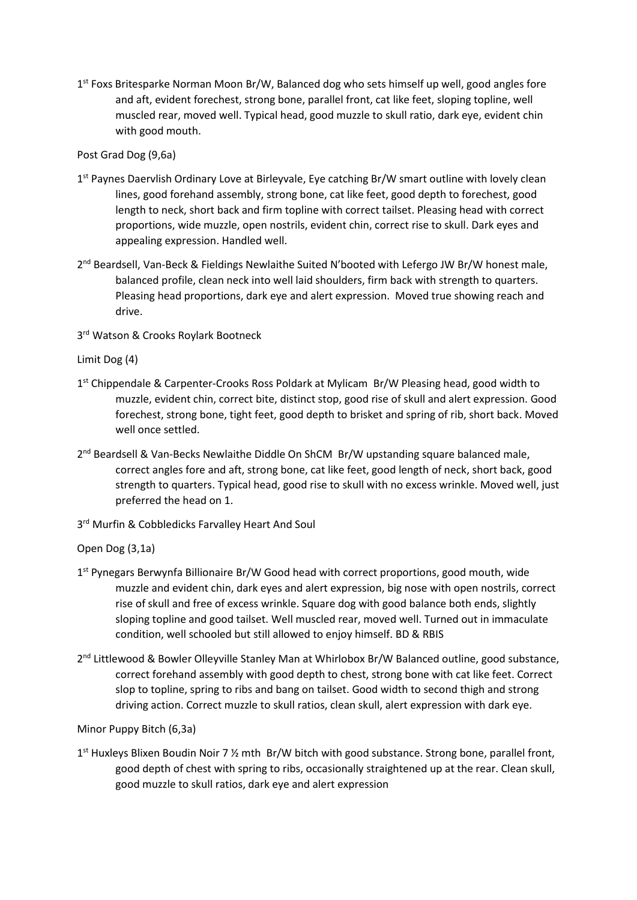1<sup>st</sup> Foxs Britesparke Norman Moon Br/W, Balanced dog who sets himself up well, good angles fore and aft, evident forechest, strong bone, parallel front, cat like feet, sloping topline, well muscled rear, moved well. Typical head, good muzzle to skull ratio, dark eye, evident chin with good mouth.

Post Grad Dog (9,6a)

- 1<sup>st</sup> Paynes Daervlish Ordinary Love at Birleyvale, Eye catching Br/W smart outline with lovely clean lines, good forehand assembly, strong bone, cat like feet, good depth to forechest, good length to neck, short back and firm topline with correct tailset. Pleasing head with correct proportions, wide muzzle, open nostrils, evident chin, correct rise to skull. Dark eyes and appealing expression. Handled well.
- 2<sup>nd</sup> Beardsell, Van-Beck & Fieldings Newlaithe Suited N'booted with Lefergo JW Br/W honest male, balanced profile, clean neck into well laid shoulders, firm back with strength to quarters. Pleasing head proportions, dark eye and alert expression. Moved true showing reach and drive.

3<sup>rd</sup> Watson & Crooks Roylark Bootneck

Limit Dog (4)

- 1<sup>st</sup> Chippendale & Carpenter-Crooks Ross Poldark at Mylicam Br/W Pleasing head, good width to muzzle, evident chin, correct bite, distinct stop, good rise of skull and alert expression. Good forechest, strong bone, tight feet, good depth to brisket and spring of rib, short back. Moved well once settled.
- 2<sup>nd</sup> Beardsell & Van-Becks Newlaithe Diddle On ShCM Br/W upstanding square balanced male, correct angles fore and aft, strong bone, cat like feet, good length of neck, short back, good strength to quarters. Typical head, good rise to skull with no excess wrinkle. Moved well, just preferred the head on 1.
- 3<sup>rd</sup> Murfin & Cobbledicks Farvalley Heart And Soul

Open Dog (3,1a)

- 1<sup>st</sup> Pynegars Berwynfa Billionaire Br/W Good head with correct proportions, good mouth, wide muzzle and evident chin, dark eyes and alert expression, big nose with open nostrils, correct rise of skull and free of excess wrinkle. Square dog with good balance both ends, slightly sloping topline and good tailset. Well muscled rear, moved well. Turned out in immaculate condition, well schooled but still allowed to enjoy himself. BD & RBIS
- 2<sup>nd</sup> Littlewood & Bowler Olleyville Stanley Man at Whirlobox Br/W Balanced outline, good substance, correct forehand assembly with good depth to chest, strong bone with cat like feet. Correct slop to topline, spring to ribs and bang on tailset. Good width to second thigh and strong driving action. Correct muzzle to skull ratios, clean skull, alert expression with dark eye.

Minor Puppy Bitch (6,3a)

1<sup>st</sup> Huxleys Blixen Boudin Noir 7 % mth Br/W bitch with good substance. Strong bone, parallel front, good depth of chest with spring to ribs, occasionally straightened up at the rear. Clean skull, good muzzle to skull ratios, dark eye and alert expression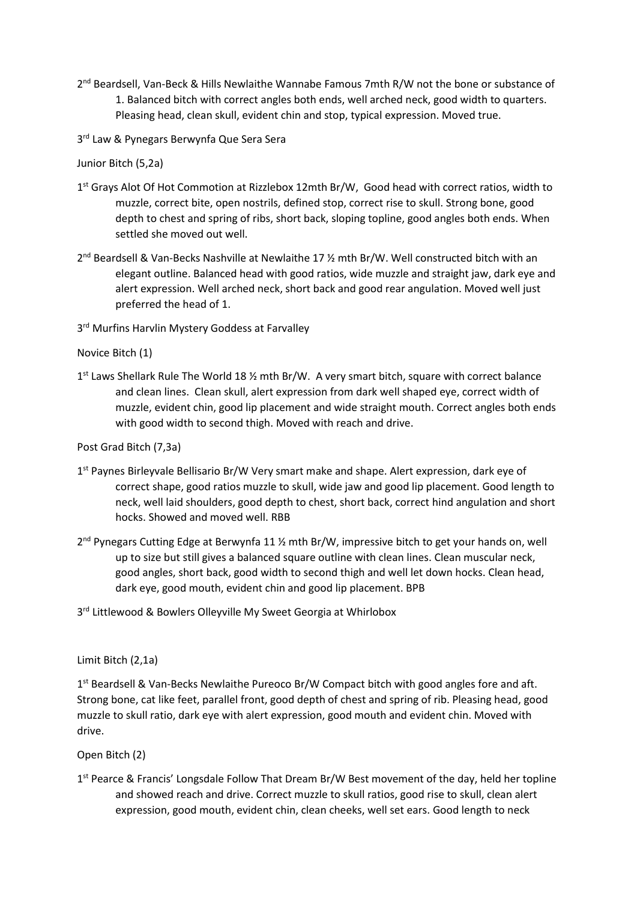- 2<sup>nd</sup> Beardsell, Van-Beck & Hills Newlaithe Wannabe Famous 7mth R/W not the bone or substance of 1. Balanced bitch with correct angles both ends, well arched neck, good width to quarters. Pleasing head, clean skull, evident chin and stop, typical expression. Moved true.
- 3<sup>rd</sup> Law & Pynegars Berwynfa Que Sera Sera

Junior Bitch (5,2a)

- 1<sup>st</sup> Grays Alot Of Hot Commotion at Rizzlebox 12mth Br/W, Good head with correct ratios, width to muzzle, correct bite, open nostrils, defined stop, correct rise to skull. Strong bone, good depth to chest and spring of ribs, short back, sloping topline, good angles both ends. When settled she moved out well.
- 2<sup>nd</sup> Beardsell & Van-Becks Nashville at Newlaithe 17 % mth Br/W. Well constructed bitch with an elegant outline. Balanced head with good ratios, wide muzzle and straight jaw, dark eye and alert expression. Well arched neck, short back and good rear angulation. Moved well just preferred the head of 1.
- 3<sup>rd</sup> Murfins Harvlin Mystery Goddess at Farvalley

Novice Bitch (1)

1<sup>st</sup> Laws Shellark Rule The World 18 % mth Br/W. A very smart bitch, square with correct balance and clean lines. Clean skull, alert expression from dark well shaped eye, correct width of muzzle, evident chin, good lip placement and wide straight mouth. Correct angles both ends with good width to second thigh. Moved with reach and drive.

Post Grad Bitch (7,3a)

- 1<sup>st</sup> Paynes Birleyvale Bellisario Br/W Very smart make and shape. Alert expression, dark eye of correct shape, good ratios muzzle to skull, wide jaw and good lip placement. Good length to neck, well laid shoulders, good depth to chest, short back, correct hind angulation and short hocks. Showed and moved well. RBB
- 2<sup>nd</sup> Pynegars Cutting Edge at Berwynfa 11 % mth Br/W, impressive bitch to get your hands on, well up to size but still gives a balanced square outline with clean lines. Clean muscular neck, good angles, short back, good width to second thigh and well let down hocks. Clean head, dark eye, good mouth, evident chin and good lip placement. BPB
- 3<sup>rd</sup> Littlewood & Bowlers Olleyville My Sweet Georgia at Whirlobox

## Limit Bitch (2,1a)

1<sup>st</sup> Beardsell & Van-Becks Newlaithe Pureoco Br/W Compact bitch with good angles fore and aft. Strong bone, cat like feet, parallel front, good depth of chest and spring of rib. Pleasing head, good muzzle to skull ratio, dark eye with alert expression, good mouth and evident chin. Moved with drive.

Open Bitch (2)

1<sup>st</sup> Pearce & Francis' Longsdale Follow That Dream Br/W Best movement of the day, held her topline and showed reach and drive. Correct muzzle to skull ratios, good rise to skull, clean alert expression, good mouth, evident chin, clean cheeks, well set ears. Good length to neck